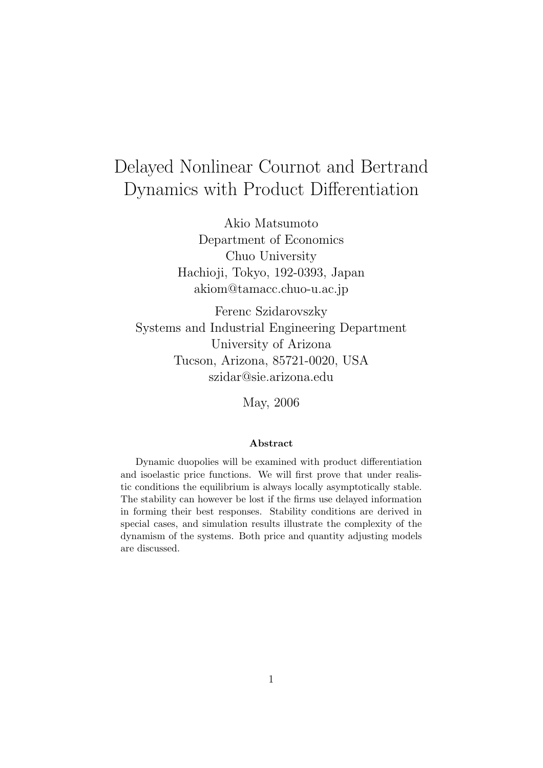# Delayed Nonlinear Cournot and Bertrand Dynamics with Product Differentiation

Akio Matsumoto Department of Economics Chuo University Hachioji, Tokyo, 192-0393, Japan akiom@tamacc.chuo-u.ac.jp

Ferenc Szidarovszky Systems and Industrial Engineering Department University of Arizona Tucson, Arizona, 85721-0020, USA szidar@sie.arizona.edu

May, 2006

#### Abstract

Dynamic duopolies will be examined with product differentiation and isoelastic price functions. We will first prove that under realistic conditions the equilibrium is always locally asymptotically stable. The stability can however be lost if the firms use delayed information in forming their best responses. Stability conditions are derived in special cases, and simulation results illustrate the complexity of the dynamism of the systems. Both price and quantity adjusting models are discussed.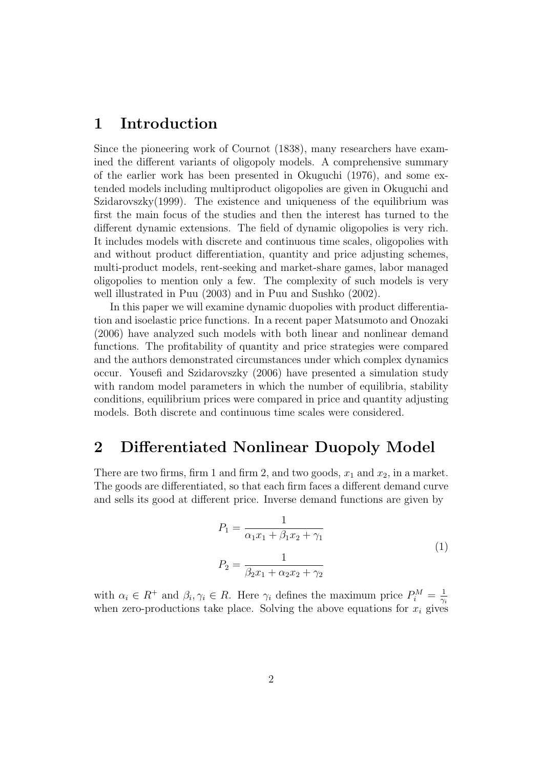# 1 Introduction

Since the pioneering work of Cournot (1838), many researchers have examined the different variants of oligopoly models. A comprehensive summary of the earlier work has been presented in Okuguchi (1976), and some extended models including multiproduct oligopolies are given in Okuguchi and Szidarovszky(1999). The existence and uniqueness of the equilibrium was first the main focus of the studies and then the interest has turned to the different dynamic extensions. The field of dynamic oligopolies is very rich. It includes models with discrete and continuous time scales, oligopolies with and without product differentiation, quantity and price adjusting schemes, multi-product models, rent-seeking and market-share games, labor managed oligopolies to mention only a few. The complexity of such models is very well illustrated in Puu (2003) and in Puu and Sushko (2002).

In this paper we will examine dynamic duopolies with product differentiation and isoelastic price functions. In a recent paper Matsumoto and Onozaki (2006) have analyzed such models with both linear and nonlinear demand functions. The profitability of quantity and price strategies were compared and the authors demonstrated circumstances under which complex dynamics occur. Yousefi and Szidarovszky (2006) have presented a simulation study with random model parameters in which the number of equilibria, stability conditions, equilibrium prices were compared in price and quantity adjusting models. Both discrete and continuous time scales were considered.

## 2 Differentiated Nonlinear Duopoly Model

There are two firms, firm 1 and firm 2, and two goods,  $x_1$  and  $x_2$ , in a market. The goods are differentiated, so that each firm faces a different demand curve and sells its good at different price. Inverse demand functions are given by

$$
P_1 = \frac{1}{\alpha_1 x_1 + \beta_1 x_2 + \gamma_1}
$$
  
\n
$$
P_2 = \frac{1}{\beta_2 x_1 + \alpha_2 x_2 + \gamma_2}
$$
\n(1)

with  $\alpha_i \in R^+$  and  $\beta_i, \gamma_i \in R$ . Here  $\gamma_i$  defines the maximum price  $P_i^M = \frac{1}{\gamma_i}$  $\gamma_i$ when zero-productions take place. Solving the above equations for  $x_i$  gives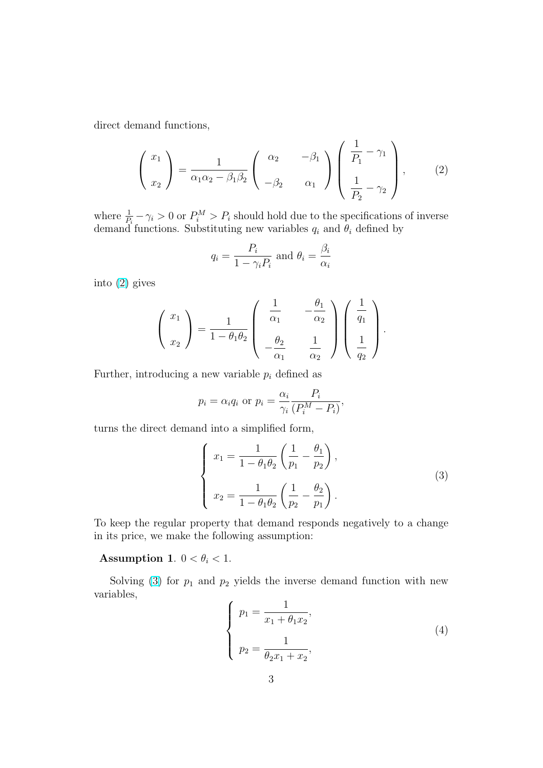<span id="page-2-0"></span>direct demand functions,

$$
\begin{pmatrix} x_1 \\ x_2 \end{pmatrix} = \frac{1}{\alpha_1 \alpha_2 - \beta_1 \beta_2} \begin{pmatrix} \alpha_2 & -\beta_1 \\ -\beta_2 & \alpha_1 \end{pmatrix} \begin{pmatrix} \frac{1}{P_1} - \gamma_1 \\ \frac{1}{P_2} - \gamma_2 \end{pmatrix},
$$
(2)

where  $\frac{1}{P_i} - \gamma_i > 0$  or  $P_i^M > P_i$  should hold due to the specifications of inverse demand functions. Substituting new variables  $q_i$  and  $\theta_i$  defined by

$$
q_i = \frac{P_i}{1 - \gamma_i P_i}
$$
 and 
$$
\theta_i = \frac{\beta_i}{\alpha_i}
$$

into (2) gives

$$
\left(\begin{array}{c} x_1 \\ x_2 \end{array}\right) = \frac{1}{1 - \theta_1 \theta_2} \left(\begin{array}{ccc} \frac{1}{\alpha_1} & -\frac{\theta_1}{\alpha_2} \\ -\frac{\theta_2}{\alpha_1} & \frac{1}{\alpha_2} \end{array}\right) \left(\begin{array}{c} \frac{1}{q_1} \\ \frac{1}{q_2} \end{array}\right).
$$

Further, introducing a new variable  $p_i$  defined as

$$
p_i = \alpha_i q_i \text{ or } p_i = \frac{\alpha_i}{\gamma_i} \frac{P_i}{(P_i^M - P_i)},
$$

turns the direct demand into a simplified form,

$$
\begin{cases}\n x_1 = \frac{1}{1 - \theta_1 \theta_2} \left( \frac{1}{p_1} - \frac{\theta_1}{p_2} \right), \\
 x_2 = \frac{1}{1 - \theta_1 \theta_2} \left( \frac{1}{p_2} - \frac{\theta_2}{p_1} \right).\n\end{cases} \tag{3}
$$

To keep the regular property that demand responds negatively to a change in its price, we make the following assumption:

### Assumption 1.  $0 < \theta_i < 1$ .

Solving (3) for  $p_1$  and  $p_2$  yields the inverse demand function with new variables,  $\overline{ }$ 

$$
\begin{cases}\n p_1 = \frac{1}{x_1 + \theta_1 x_2}, \\
 p_2 = \frac{1}{\theta_2 x_1 + x_2},\n\end{cases} (4)
$$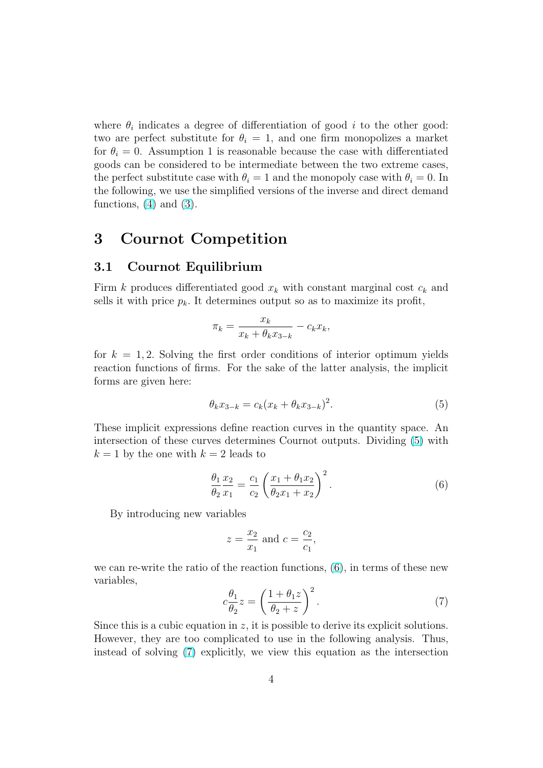<span id="page-3-0"></span>where  $\theta_i$  indicates a degree of differentiation of good i to the other good: two are perfect substitute for  $\theta_i = 1$ , and one firm monopolizes a market for  $\theta_i = 0$ . Assumption 1 is reasonable because the case with differentiated goods can be considered to be intermediate between the two extreme cases, the perfect substitute case with  $\theta_i = 1$  and the monopoly case with  $\theta_i = 0$ . In the following, we use the simplified versions of the inverse and direct demand functions,  $(4)$  and  $(3)$ .

### 3 Cournot Competition

#### 3.1 Cournot Equilibrium

Firm k produces differentiated good  $x_k$  with constant marginal cost  $c_k$  and sells it with price  $p_k$ . It determines output so as to maximize its profit,

$$
\pi_k = \frac{x_k}{x_k + \theta_k x_{3-k}} - c_k x_k,
$$

for  $k = 1, 2$ . Solving the first order conditions of interior optimum yields reaction functions of firms. For the sake of the latter analysis, the implicit forms are given here:

$$
\theta_k x_{3-k} = c_k (x_k + \theta_k x_{3-k})^2.
$$
 (5)

These implicit expressions define reaction curves in the quantity space. An intersection of these curves determines Cournot outputs. Dividing (5) with  $k = 1$  by the one with  $k = 2$  leads to

$$
\frac{\theta_1 x_2}{\theta_2 x_1} = \frac{c_1}{c_2} \left( \frac{x_1 + \theta_1 x_2}{\theta_2 x_1 + x_2} \right)^2.
$$
 (6)

By introducing new variables

$$
z = \frac{x_2}{x_1}
$$
 and  $c = \frac{c_2}{c_1}$ ,

we can re-write the ratio of the reaction functions,  $(6)$ , in terms of these new variables,  $\overline{a}$  $\sqrt{2}$ 

$$
c\frac{\theta_1}{\theta_2}z = \left(\frac{1+\theta_1z}{\theta_2+z}\right)^2.
$$
 (7)

Since this is a cubic equation in  $z$ , it is possible to derive its explicit solutions. However, they are too complicated to use in the following analysis. Thus, instead of solving (7) explicitly, we view this equation as the intersection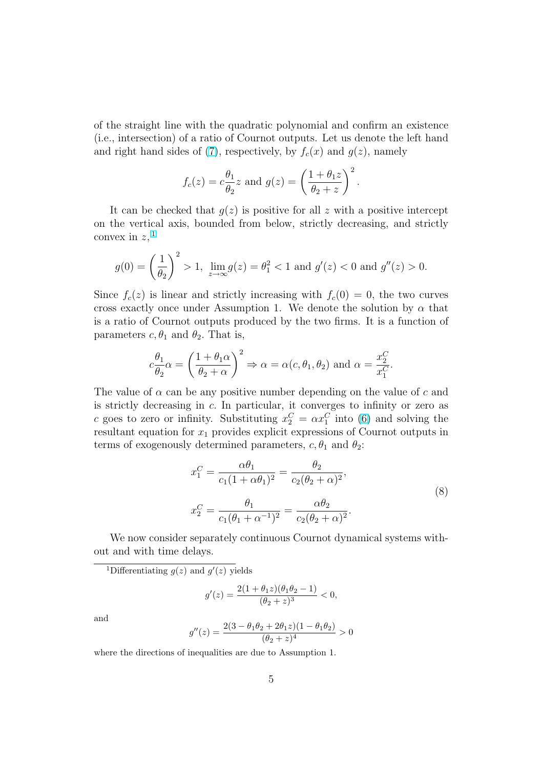of the straight line with the quadratic polynomial and confirm an existence (i.e., intersection) of a ratio of Cournot outputs. Let us denote the left hand and right hand sides of [\(7\)](#page-3-0), respectively, by  $f_c(x)$  and  $g(z)$ , namely

$$
f_c(z) = c \frac{\theta_1}{\theta_2} z
$$
 and  $g(z) = \left(\frac{1 + \theta_1 z}{\theta_2 + z}\right)^2$ .

It can be checked that  $g(z)$  is positive for all z with a positive intercept on the vertical axis, bounded from below, strictly decreasing, and strictly convex in  $z$ , <sup>1</sup>

$$
g(0) = \left(\frac{1}{\theta_2}\right)^2 > 1, \ \lim_{z \to \infty} g(z) = \theta_1^2 < 1 \text{ and } g'(z) < 0 \text{ and } g''(z) > 0.
$$

Since  $f_c(z)$  is linear and strictly increasing with  $f_c(0) = 0$ , the two curves cross exactly once under Assumption 1. We denote the solution by  $\alpha$  that is a ratio of Cournot outputs produced by the two firms. It is a function of parameters  $c, \theta_1$  and  $\theta_2$ . That is,

$$
c\frac{\theta_1}{\theta_2}\alpha = \left(\frac{1+\theta_1\alpha}{\theta_2+\alpha}\right)^2 \Rightarrow \alpha = \alpha(c,\theta_1,\theta_2)
$$
 and  $\alpha = \frac{x_2^C}{x_1^C}$ .

The value of  $\alpha$  can be any positive number depending on the value of c and is strictly decreasing in c. In particular, it converges to infinity or zero as c goes to zero or infinity. Substituting  $x_2^C = \alpha x_1^C$  into [\(6\)](#page-3-0) and solving the resultant equation for  $x_1$  provides explicit expressions of Cournot outputs in terms of exogenously determined parameters,  $c, \theta_1$  and  $\theta_2$ :

$$
x_1^C = \frac{\alpha \theta_1}{c_1 (1 + \alpha \theta_1)^2} = \frac{\theta_2}{c_2 (\theta_2 + \alpha)^2},
$$
  
\n
$$
x_2^C = \frac{\theta_1}{c_1 (\theta_1 + \alpha^{-1})^2} = \frac{\alpha \theta_2}{c_2 (\theta_2 + \alpha)^2}.
$$
\n(8)

We now consider separately continuous Cournot dynamical systems without and with time delays.

<sup>1</sup>Differentiating  $g(z)$  and  $g'(z)$  yields

$$
g'(z) = \frac{2(1+\theta_1 z)(\theta_1 \theta_2 - 1)}{(\theta_2 + z)^3} < 0,
$$

and

$$
g''(z) = \frac{2(3 - \theta_1 \theta_2 + 2\theta_1 z)(1 - \theta_1 \theta_2)}{(\theta_2 + z)^4} > 0
$$

where the directions of inequalities are due to Assumption 1.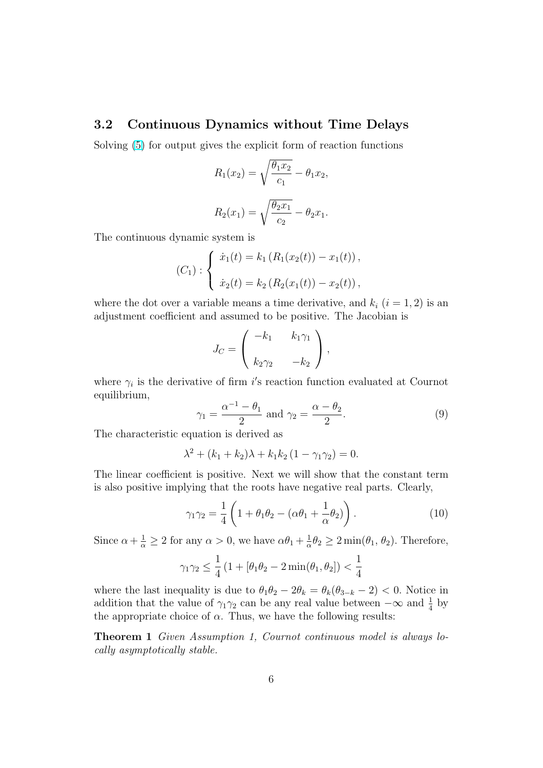### 3.2 Continuous Dynamics without Time Delays

Solving [\(5\)](#page-3-0) for output gives the explicit form of reaction functions

$$
R_1(x_2) = \sqrt{\frac{\theta_1 x_2}{c_1}} - \theta_1 x_2,
$$
  

$$
R_2(x_1) = \sqrt{\frac{\theta_2 x_1}{c_2}} - \theta_2 x_1.
$$

The continuous dynamic system is

$$
(C_1): \begin{cases} \n\dot{x}_1(t) = k_1 (R_1(x_2(t)) - x_1(t)), \\ \n\dot{x}_2(t) = k_2 (R_2(x_1(t)) - x_2(t)), \n\end{cases}
$$

where the dot over a variable means a time derivative, and  $k_i$   $(i = 1, 2)$  is an adjustment coefficient and assumed to be positive. The Jacobian is

$$
J_C = \begin{pmatrix} -k_1 & k_1 \gamma_1 \\ k_2 \gamma_2 & -k_2 \end{pmatrix},
$$

where  $\gamma_i$  is the derivative of firm i's reaction function evaluated at Cournot equilibrium,

$$
\gamma_1 = \frac{\alpha^{-1} - \theta_1}{2} \text{ and } \gamma_2 = \frac{\alpha - \theta_2}{2}.
$$
 (9)

The characteristic equation is derived as

$$
\lambda^{2} + (k_{1} + k_{2})\lambda + k_{1}k_{2} (1 - \gamma_{1}\gamma_{2}) = 0.
$$

The linear coefficient is positive. Next we will show that the constant term is also positive implying that the roots have negative real parts. Clearly,

$$
\gamma_1 \gamma_2 = \frac{1}{4} \left( 1 + \theta_1 \theta_2 - (\alpha \theta_1 + \frac{1}{\alpha} \theta_2) \right). \tag{10}
$$

Since  $\alpha + \frac{1}{\alpha} \ge 2$  for any  $\alpha > 0$ , we have  $\alpha \theta_1 + \frac{1}{\alpha}$  $\frac{1}{\alpha}\theta_2 \geq 2 \min(\theta_1, \theta_2)$ . Therefore,

$$
\gamma_1 \gamma_2 \le \frac{1}{4} \left( 1 + [\theta_1 \theta_2 - 2 \min(\theta_1, \theta_2)] \right) < \frac{1}{4}
$$

where the last inequality is due to  $\theta_1 \theta_2 - 2\theta_k = \theta_k(\theta_{3-k} - 2) < 0$ . Notice in addition that the value of  $\gamma_1 \gamma_2$  can be any real value between  $-\infty$  and  $\frac{1}{4}$  by the appropriate choice of  $\alpha$ . Thus, we have the following results:

Theorem 1 Given Assumption 1, Cournot continuous model is always locally asymptotically stable.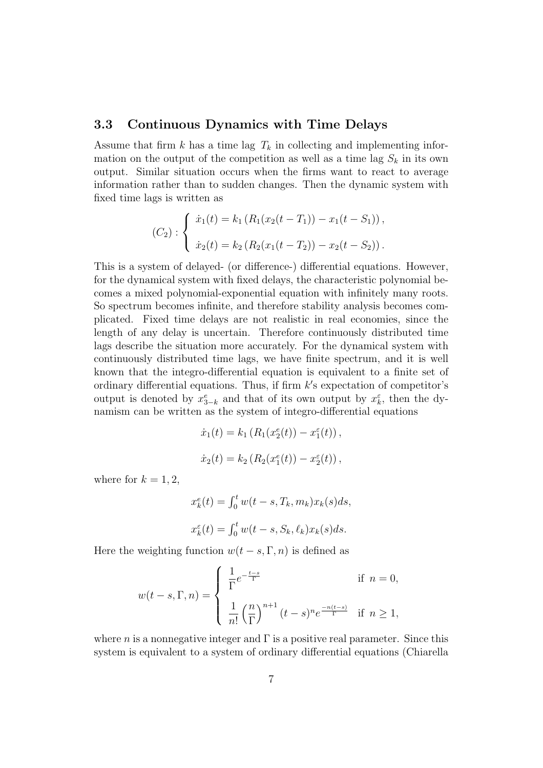### 3.3 Continuous Dynamics with Time Delays

Assume that firm k has a time lag  $T_k$  in collecting and implementing information on the output of the competition as well as a time lag  $S_k$  in its own output. Similar situation occurs when the firms want to react to average information rather than to sudden changes. Then the dynamic system with fixed time lags is written as

$$
(C_2): \begin{cases} \dot{x}_1(t) = k_1 (R_1(x_2(t - T_1)) - x_1(t - S_1)), \\ \dot{x}_2(t) = k_2 (R_2(x_1(t - T_2)) - x_2(t - S_2)). \end{cases}
$$

This is a system of delayed- (or difference-) differential equations. However, for the dynamical system with fixed delays, the characteristic polynomial becomes a mixed polynomial-exponential equation with infinitely many roots. So spectrum becomes infinite, and therefore stability analysis becomes complicated. Fixed time delays are not realistic in real economies, since the length of any delay is uncertain. Therefore continuously distributed time lags describe the situation more accurately. For the dynamical system with continuously distributed time lags, we have finite spectrum, and it is well known that the integro-differential equation is equivalent to a finite set of ordinary differential equations. Thus, if firm  $k$ 's expectation of competitor's output is denoted by  $x_{3-k}^e$  and that of its own output by  $x_k^{\varepsilon}$ , then the dynamism can be written as the system of integro-differential equations

$$
\dot{x}_1(t) = k_1 (R_1(x_2^e(t)) - x_1^e(t)),
$$
  

$$
\dot{x}_2(t) = k_2 (R_2(x_1^e(t)) - x_2^e(t)),
$$

where for  $k = 1, 2$ ,

$$
x_k^e(t) = \int_0^t w(t - s, T_k, m_k) x_k(s) ds,
$$
  

$$
x_k^e(t) = \int_0^t w(t - s, S_k, \ell_k) x_k(s) ds.
$$

Here the weighting function  $w(t-s, \Gamma, n)$  is defined as

$$
w(t-s,\Gamma,n) = \begin{cases} \frac{1}{\Gamma}e^{-\frac{t-s}{\Gamma}} & \text{if } n = 0, \\ \frac{1}{n!} \left(\frac{n}{\Gamma}\right)^{n+1} (t-s)^n e^{\frac{-n(t-s)}{\Gamma}} & \text{if } n \ge 1, \end{cases}
$$

where n is a nonnegative integer and  $\Gamma$  is a positive real parameter. Since this system is equivalent to a system of ordinary differential equations (Chiarella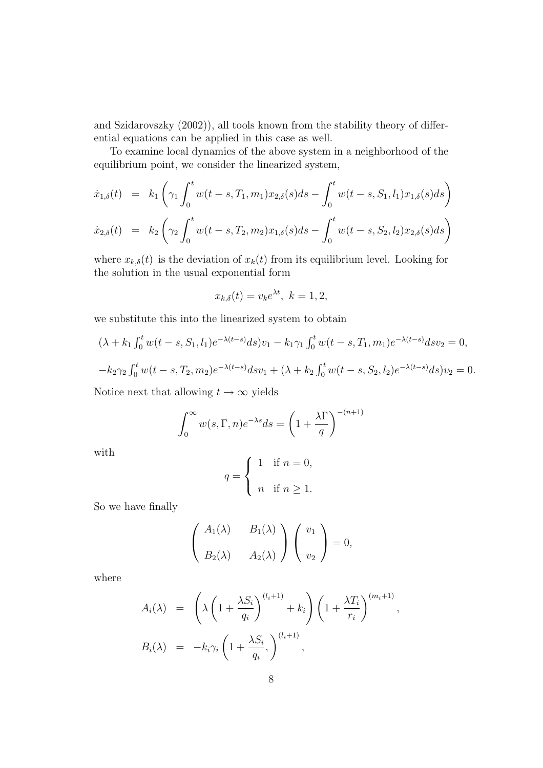and Szidarovszky (2002)), all tools known from the stability theory of differential equations can be applied in this case as well.

To examine local dynamics of the above system in a neighborhood of the equilibrium point, we consider the linearized system,

$$
\dot{x}_{1,\delta}(t) = k_1 \left( \gamma_1 \int_0^t w(t-s, T_1, m_1) x_{2,\delta}(s) ds - \int_0^t w(t-s, S_1, l_1) x_{1,\delta}(s) ds \right)
$$
  

$$
\dot{x}_{2,\delta}(t) = k_2 \left( \gamma_2 \int_0^t w(t-s, T_2, m_2) x_{1,\delta}(s) ds - \int_0^t w(t-s, S_2, l_2) x_{2,\delta}(s) ds \right)
$$

where  $x_{k,\delta}(t)$  is the deviation of  $x_k(t)$  from its equilibrium level. Looking for the solution in the usual exponential form

$$
x_{k,\delta}(t) = v_k e^{\lambda t}, \ k = 1, 2,
$$

we substitute this into the linearized system to obtain

$$
(\lambda + k_1 \int_0^t w(t - s, S_1, l_1) e^{-\lambda(t - s)} ds) v_1 - k_1 \gamma_1 \int_0^t w(t - s, T_1, m_1) e^{-\lambda(t - s)} ds v_2 = 0,
$$
  

$$
-k_2 \gamma_2 \int_0^t w(t - s, T_2, m_2) e^{-\lambda(t - s)} ds v_1 + (\lambda + k_2 \int_0^t w(t - s, S_2, l_2) e^{-\lambda(t - s)} ds) v_2 = 0.
$$

Notice next that allowing  $t \to \infty$  yields

$$
\int_0^\infty w(s,\Gamma,n)e^{-\lambda s}ds = \left(1 + \frac{\lambda \Gamma}{q}\right)^{-(n+1)}
$$

with

$$
q = \begin{cases} 1 & \text{if } n = 0, \\ n & \text{if } n \ge 1. \end{cases}
$$

So we have finally

$$
\begin{pmatrix} A_1(\lambda) & B_1(\lambda) \\ B_2(\lambda) & A_2(\lambda) \end{pmatrix} \begin{pmatrix} v_1 \\ v_2 \end{pmatrix} = 0,
$$

where

$$
A_i(\lambda) = \left(\lambda \left(1 + \frac{\lambda S_i}{q_i}\right)^{(l_i+1)} + k_i\right) \left(1 + \frac{\lambda T_i}{r_i}\right)^{(m_i+1)},
$$
  

$$
B_i(\lambda) = -k_i \gamma_i \left(1 + \frac{\lambda S_i}{q_i}\right)^{(l_i+1)},
$$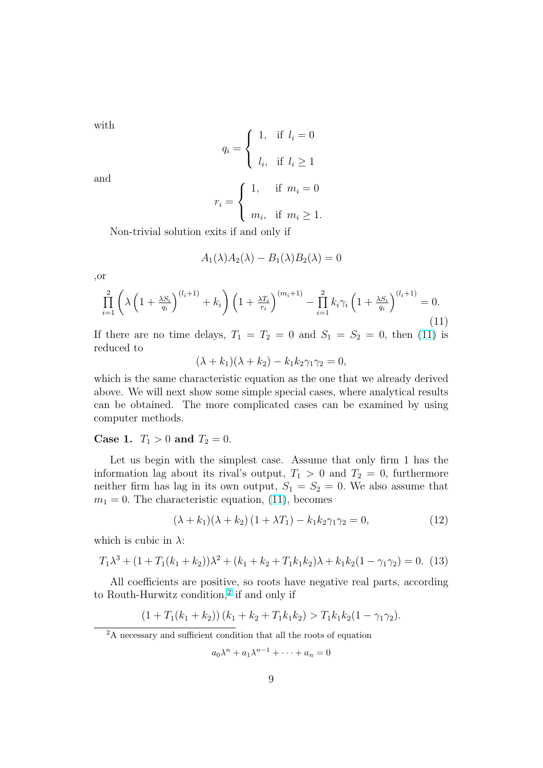<span id="page-8-0"></span>with

$$
q_i = \begin{cases} 1, & \text{if } l_i = 0 \\ l_i, & \text{if } l_i \ge 1 \end{cases}
$$

$$
r_i = \begin{cases} 1, & \text{if } m_i = 0 \\ m_i, & \text{if } m_i \ge 1. \end{cases}
$$

and

Non-trivial solution exits if and only if

$$
A_1(\lambda)A_2(\lambda) - B_1(\lambda)B_2(\lambda) = 0
$$

,or

$$
\prod_{i=1}^{2} \left( \lambda \left( 1 + \frac{\lambda S_i}{q_i} \right)^{(l_i+1)} + k_i \right) \left( 1 + \frac{\lambda T_i}{r_i} \right)^{(m_i+1)} - \prod_{i=1}^{2} k_i \gamma_i \left( 1 + \frac{\lambda S_i}{q_i} \right)^{(l_i+1)} = 0. \tag{11}
$$

If there are no time delays,  $T_1 = T_2 = 0$  and  $S_1 = S_2 = 0$ , then (11) is reduced to

$$
(\lambda + k_1)(\lambda + k_2) - k_1 k_2 \gamma_1 \gamma_2 = 0,
$$

which is the same characteristic equation as the one that we already derived above. We will next show some simple special cases, where analytical results can be obtained. The more complicated cases can be examined by using computer methods.

#### **Case 1.**  $T_1 > 0$  and  $T_2 = 0$ .

Let us begin with the simplest case. Assume that only firm 1 has the information lag about its rival's output,  $T_1 > 0$  and  $T_2 = 0$ , furthermore neither firm has lag in its own output,  $S_1 = S_2 = 0$ . We also assume that  $m_1 = 0$ . The characteristic equation, (11), becomes

$$
(\lambda + k_1)(\lambda + k_2)(1 + \lambda T_1) - k_1 k_2 \gamma_1 \gamma_2 = 0,
$$
\n(12)

which is cubic in  $\lambda$ :

$$
T_1\lambda^3 + (1 + T_1(k_1 + k_2))\lambda^2 + (k_1 + k_2 + T_1k_1k_2)\lambda + k_1k_2(1 - \gamma_1\gamma_2) = 0.
$$
 (13)

All coefficients are positive, so roots have negative real parts, according to Routh-Hurwitz condition,<sup>2</sup> if and only if

$$
(1+T_1(k_1+k_2))(k_1+k_2+T_1k_1k_2) > T_1k_1k_2(1-\gamma_1\gamma_2).
$$

$$
a_0\lambda^n + a_1\lambda^{n-1} + \dots + a_n = 0
$$

<sup>2</sup>A necessary and sufficient condition that all the roots of equation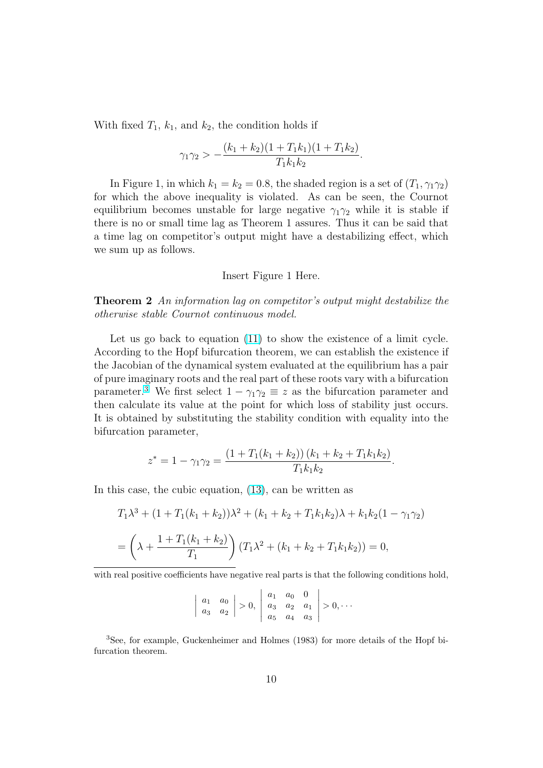With fixed  $T_1$ ,  $k_1$ , and  $k_2$ , the condition holds if

$$
\gamma_1 \gamma_2 > -\frac{(k_1 + k_2)(1 + T_1 k_1)(1 + T_1 k_2)}{T_1 k_1 k_2}.
$$

In Figure 1, in which  $k_1 = k_2 = 0.8$ , the shaded region is a set of  $(T_1, \gamma_1 \gamma_2)$ for which the above inequality is violated. As can be seen, the Cournot equilibrium becomes unstable for large negative  $\gamma_1 \gamma_2$  while it is stable if there is no or small time lag as Theorem 1 assures. Thus it can be said that a time lag on competitor's output might have a destabilizing effect, which we sum up as follows.

#### Insert Figure 1 Here.

**Theorem 2** An information lag on competitor's output might destabilize the otherwise stable Cournot continuous model.

Let us go back to equation [\(11\)](#page-8-0) to show the existence of a limit cycle. According to the Hopf bifurcation theorem, we can establish the existence if the Jacobian of the dynamical system evaluated at the equilibrium has a pair of pure imaginary roots and the real part of these roots vary with a bifurcation parameter.<sup>3</sup> We first select  $1 - \gamma_1 \gamma_2 \equiv z$  as the bifurcation parameter and then calculate its value at the point for which loss of stability just occurs. It is obtained by substituting the stability condition with equality into the bifurcation parameter,

$$
z^* = 1 - \gamma_1 \gamma_2 = \frac{\left(1 + T_1(k_1 + k_2)\right)(k_1 + k_2 + T_1k_1k_2)}{T_1k_1k_2}.
$$

In this case, the cubic equation, [\(13\)](#page-8-0), can be written as

$$
T_1\lambda^3 + (1 + T_1(k_1 + k_2))\lambda^2 + (k_1 + k_2 + T_1k_1k_2)\lambda + k_1k_2(1 - \gamma_1\gamma_2)
$$
  
= 
$$
\left(\lambda + \frac{1 + T_1(k_1 + k_2)}{T_1}\right)(T_1\lambda^2 + (k_1 + k_2 + T_1k_1k_2)) = 0,
$$

with real positive coefficients have negative real parts is that the following conditions hold,

$$
\left| \begin{array}{cc} a_1 & a_0 \\ a_3 & a_2 \end{array} \right| > 0, \left| \begin{array}{cc} a_1 & a_0 & 0 \\ a_3 & a_2 & a_1 \\ a_5 & a_4 & a_3 \end{array} \right| > 0, \cdots
$$

<sup>3</sup>See, for example, Guckenheimer and Holmes (1983) for more details of the Hopf bifurcation theorem.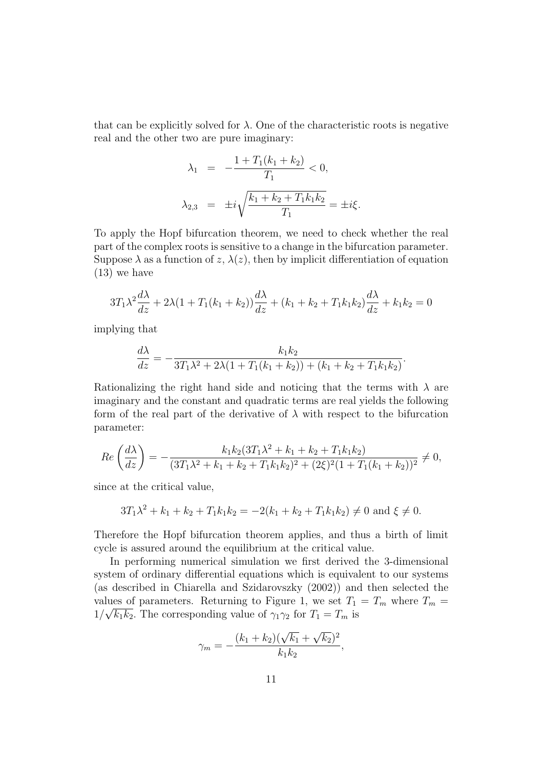that can be explicitly solved for  $\lambda$ . One of the characteristic roots is negative real and the other two are pure imaginary:

$$
\lambda_1 = -\frac{1 + T_1(k_1 + k_2)}{T_1} < 0,
$$
  

$$
\lambda_{2,3} = \pm i\sqrt{\frac{k_1 + k_2 + T_1k_1k_2}{T_1}} = \pm i\xi.
$$

To apply the Hopf bifurcation theorem, we need to check whether the real part of the complex roots is sensitive to a change in the bifurcation parameter. Suppose  $\lambda$  as a function of z,  $\lambda(z)$ , then by implicit differentiation of equation (13) we have

$$
3T_1\lambda^2\frac{d\lambda}{dz} + 2\lambda(1 + T_1(k_1 + k_2))\frac{d\lambda}{dz} + (k_1 + k_2 + T_1k_1k_2)\frac{d\lambda}{dz} + k_1k_2 = 0
$$

implying that

$$
\frac{d\lambda}{dz} = -\frac{k_1k_2}{3T_1\lambda^2 + 2\lambda(1 + T_1(k_1 + k_2)) + (k_1 + k_2 + T_1k_1k_2)}.
$$

Rationalizing the right hand side and noticing that the terms with  $\lambda$  are imaginary and the constant and quadratic terms are real yields the following form of the real part of the derivative of  $\lambda$  with respect to the bifurcation parameter:

$$
Re\left(\frac{d\lambda}{dz}\right) = -\frac{k_1k_2(3T_1\lambda^2 + k_1 + k_2 + T_1k_1k_2)}{(3T_1\lambda^2 + k_1 + k_2 + T_1k_1k_2)^2 + (2\xi)^2(1 + T_1(k_1 + k_2))^2} \neq 0,
$$

since at the critical value,

$$
3T_1\lambda^2 + k_1 + k_2 + T_1k_1k_2 = -2(k_1 + k_2 + T_1k_1k_2) \neq 0 \text{ and } \xi \neq 0.
$$

Therefore the Hopf bifurcation theorem applies, and thus a birth of limit cycle is assured around the equilibrium at the critical value.

In performing numerical simulation we first derived the 3-dimensional system of ordinary differential equations which is equivalent to our systems (as described in Chiarella and Szidarovszky (2002)) and then selected the values of parameters. Returning to Figure 1, we set  $T_1 = T_m$  where  $T_m =$  $1/\sqrt{k_1k_2}$ . The corresponding value of  $\gamma_1\gamma_2$  for  $T_1 = T_m$  is

$$
\gamma_m = -\frac{(k_1 + k_2)(\sqrt{k_1} + \sqrt{k_2})^2}{k_1 k_2},
$$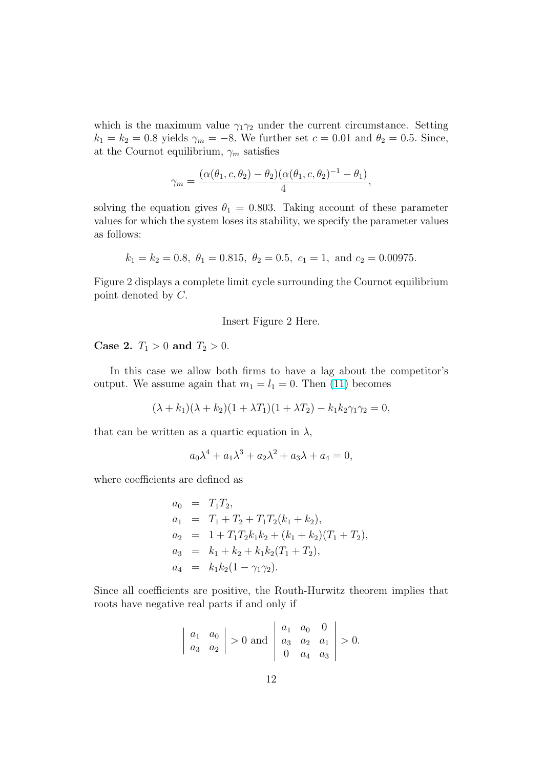which is the maximum value  $\gamma_1 \gamma_2$  under the current circumstance. Setting  $k_1 = k_2 = 0.8$  yields  $\gamma_m = -8$ . We further set  $c = 0.01$  and  $\theta_2 = 0.5$ . Since, at the Cournot equilibrium,  $\gamma_m$  satisfies

$$
\gamma_m = \frac{(\alpha(\theta_1, c, \theta_2) - \theta_2)(\alpha(\theta_1, c, \theta_2)^{-1} - \theta_1)}{4},
$$

solving the equation gives  $\theta_1 = 0.803$ . Taking account of these parameter values for which the system loses its stability, we specify the parameter values as follows:

$$
k_1 = k_2 = 0.8
$$
,  $\theta_1 = 0.815$ ,  $\theta_2 = 0.5$ ,  $c_1 = 1$ , and  $c_2 = 0.00975$ .

Figure 2 displays a complete limit cycle surrounding the Cournot equilibrium point denoted by C.

Insert Figure 2 Here.

Case 2.  $T_1 > 0$  and  $T_2 > 0$ .

In this case we allow both firms to have a lag about the competitor's output. We assume again that  $m_1 = l_1 = 0$ . Then [\(11\)](#page-8-0) becomes

$$
(\lambda + k_1)(\lambda + k_2)(1 + \lambda T_1)(1 + \lambda T_2) - k_1 k_2 \gamma_1 \gamma_2 = 0,
$$

that can be written as a quartic equation in  $\lambda$ ,

$$
a_0\lambda^4 + a_1\lambda^3 + a_2\lambda^2 + a_3\lambda + a_4 = 0,
$$

where coefficients are defined as

$$
a_0 = T_1T_2,
$$
  
\n
$$
a_1 = T_1 + T_2 + T_1T_2(k_1 + k_2),
$$
  
\n
$$
a_2 = 1 + T_1T_2k_1k_2 + (k_1 + k_2)(T_1 + T_2),
$$
  
\n
$$
a_3 = k_1 + k_2 + k_1k_2(T_1 + T_2),
$$
  
\n
$$
a_4 = k_1k_2(1 - \gamma_1\gamma_2).
$$

Since all coefficients are positive, the Routh-Hurwitz theorem implies that roots have negative real parts if and only if

$$
\begin{vmatrix} a_1 & a_0 \\ a_3 & a_2 \end{vmatrix}
$$
 > 0 and  $\begin{vmatrix} a_1 & a_0 & 0 \\ a_3 & a_2 & a_1 \\ 0 & a_4 & a_3 \end{vmatrix}$  > 0.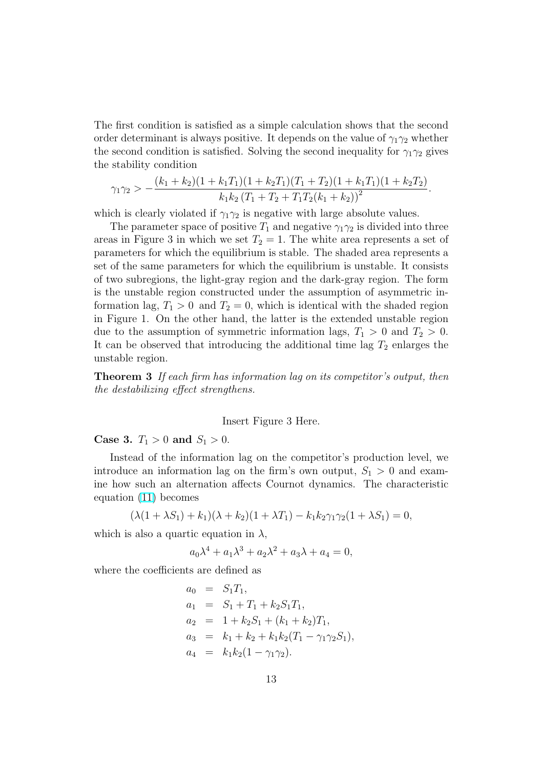The first condition is satisfied as a simple calculation shows that the second order determinant is always positive. It depends on the value of  $\gamma_1 \gamma_2$  whether the second condition is satisfied. Solving the second inequality for  $\gamma_1\gamma_2$  gives the stability condition

$$
\gamma_1 \gamma_2 > -\frac{(k_1 + k_2)(1 + k_1T_1)(1 + k_2T_1)(T_1 + T_2)(1 + k_1T_1)(1 + k_2T_2)}{k_1k_2(T_1 + T_2 + T_1T_2(k_1 + k_2))^2}.
$$

which is clearly violated if  $\gamma_1 \gamma_2$  is negative with large absolute values.

The parameter space of positive  $T_1$  and negative  $\gamma_1 \gamma_2$  is divided into three areas in Figure 3 in which we set  $T_2 = 1$ . The white area represents a set of parameters for which the equilibrium is stable. The shaded area represents a set of the same parameters for which the equilibrium is unstable. It consists of two subregions, the light-gray region and the dark-gray region. The form is the unstable region constructed under the assumption of asymmetric information lag,  $T_1 > 0$  and  $T_2 = 0$ , which is identical with the shaded region in Figure 1. On the other hand, the latter is the extended unstable region due to the assumption of symmetric information lags,  $T_1 > 0$  and  $T_2 > 0$ . It can be observed that introducing the additional time lag  $T_2$  enlarges the unstable region.

Theorem 3 If each firm has information lag on its competitor's output, then the destabilizing effect strengthens.

#### Insert Figure 3 Here.

**Case 3.**  $T_1 > 0$  and  $S_1 > 0$ .

Instead of the information lag on the competitor's production level, we introduce an information lag on the firm's own output,  $S_1 > 0$  and examine how such an alternation affects Cournot dynamics. The characteristic equation [\(11\)](#page-8-0) becomes

$$
(\lambda(1+\lambda S_1)+k_1)(\lambda+k_2)(1+\lambda T_1)-k_1k_2\gamma_1\gamma_2(1+\lambda S_1)=0,
$$

which is also a quartic equation in  $\lambda$ ,

$$
a_0\lambda^4 + a_1\lambda^3 + a_2\lambda^2 + a_3\lambda + a_4 = 0,
$$

where the coefficients are defined as

$$
a_0 = S_1T_1,
$$
  
\n
$$
a_1 = S_1 + T_1 + k_2S_1T_1,
$$
  
\n
$$
a_2 = 1 + k_2S_1 + (k_1 + k_2)T_1,
$$
  
\n
$$
a_3 = k_1 + k_2 + k_1k_2(T_1 - \gamma_1\gamma_2S_1),
$$
  
\n
$$
a_4 = k_1k_2(1 - \gamma_1\gamma_2).
$$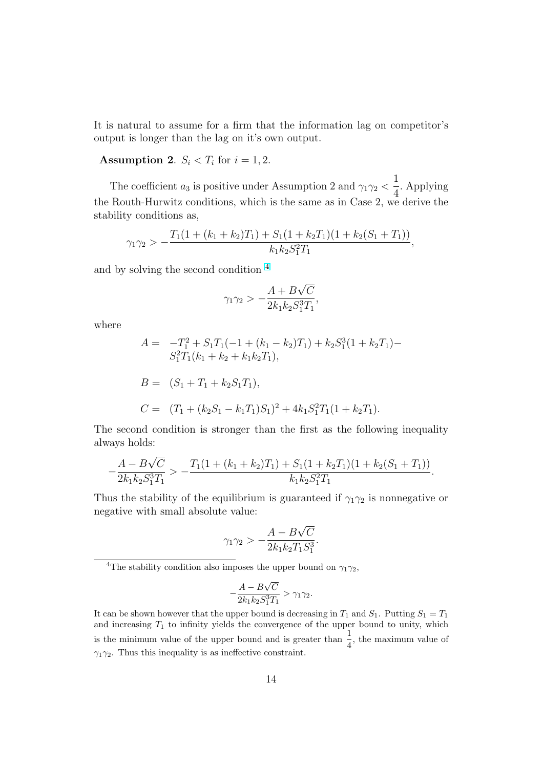It is natural to assume for a firm that the information lag on competitor's output is longer than the lag on it's own output.

#### **Assumption 2.**  $S_i < T_i$  for  $i = 1, 2$ .

The coefficient  $a_3$  is positive under Assumption 2 and  $\gamma_1 \gamma_2$  < 1 4 . Applying the Routh-Hurwitz conditions, which is the same as in Case 2, we derive the stability conditions as,

$$
\gamma_1 \gamma_2 > -\frac{T_1(1 + (k_1 + k_2)T_1) + S_1(1 + k_2T_1)(1 + k_2(S_1 + T_1))}{k_1 k_2 S_1^2 T_1}
$$

,

and by solving the second condition <sup>4</sup>

$$
\gamma_1 \gamma_2 > -\frac{A + B\sqrt{C}}{2k_1k_2 S_1^3 T_1},
$$

where

$$
A = -T_1^2 + S_1T_1(-1 + (k_1 - k_2)T_1) + k_2S_1^3(1 + k_2T_1) - S_1^2T_1(k_1 + k_2 + k_1k_2T_1),
$$
  
\n
$$
B = (S_1 + T_1 + k_2S_1T_1),
$$
  
\n
$$
C = (T_1 + (k_2S_1 - k_1T_1)S_1)^2 + 4k_1S_1^2T_1(1 + k_2T_1).
$$

The second condition is stronger than the first as the following inequality always holds:

$$
-\frac{A - B\sqrt{C}}{2k_1k_2S_1^3T_1} > -\frac{T_1(1 + (k_1 + k_2)T_1) + S_1(1 + k_2T_1)(1 + k_2(S_1 + T_1))}{k_1k_2S_1^2T_1}.
$$

Thus the stability of the equilibrium is guaranteed if  $\gamma_1 \gamma_2$  is nonnegative or negative with small absolute value:

$$
\gamma_1 \gamma_2 > -\frac{A - B\sqrt{C}}{2k_1k_2T_1S_1^3}.
$$

<sup>4</sup>The stability condition also imposes the upper bound on  $\gamma_1 \gamma_2$ ,

$$
-\frac{A - B\sqrt{C}}{2k_1k_2S_1^3T_1} > \gamma_1\gamma_2.
$$

It can be shown however that the upper bound is decreasing in  $T_1$  and  $S_1$ . Putting  $S_1 = T_1$ and increasing  $T_1$  to infinity yields the convergence of the upper bound to unity, which is the minimum value of the upper bound and is greater than  $\frac{1}{4}$ , the maximum value of  $\gamma_1\gamma_2$ . Thus this inequality is as ineffective constraint.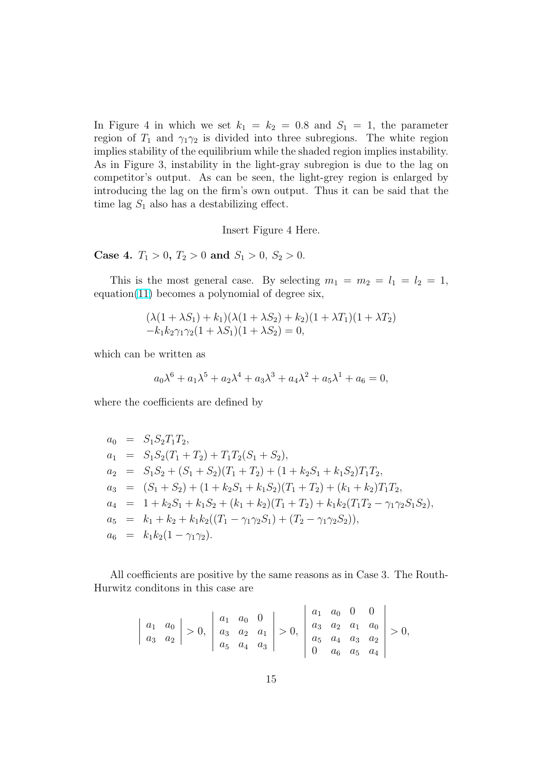In Figure 4 in which we set  $k_1 = k_2 = 0.8$  and  $S_1 = 1$ , the parameter region of  $T_1$  and  $\gamma_1\gamma_2$  is divided into three subregions. The white region implies stability of the equilibrium while the shaded region implies instability. As in Figure 3, instability in the light-gray subregion is due to the lag on competitor's output. As can be seen, the light-grey region is enlarged by introducing the lag on the firm's own output. Thus it can be said that the time lag  $S_1$  also has a destabilizing effect.

Insert Figure 4 Here.

Case 4.  $T_1 > 0$ ,  $T_2 > 0$  and  $S_1 > 0$ ,  $S_2 > 0$ .

This is the most general case. By selecting  $m_1 = m_2 = l_1 = l_2 = 1$ , equation[\(11\)](#page-8-0) becomes a polynomial of degree six,

$$
(\lambda(1 + \lambda S_1) + k_1)(\lambda(1 + \lambda S_2) + k_2)(1 + \lambda T_1)(1 + \lambda T_2) -k_1k_2\gamma_1\gamma_2(1 + \lambda S_1)(1 + \lambda S_2) = 0,
$$

which can be written as

$$
a_0\lambda^6 + a_1\lambda^5 + a_2\lambda^4 + a_3\lambda^3 + a_4\lambda^2 + a_5\lambda^1 + a_6 = 0,
$$

where the coefficients are defined by

$$
a_0 = S_1S_2T_1T_2,
$$
  
\n
$$
a_1 = S_1S_2(T_1 + T_2) + T_1T_2(S_1 + S_2),
$$
  
\n
$$
a_2 = S_1S_2 + (S_1 + S_2)(T_1 + T_2) + (1 + k_2S_1 + k_1S_2)T_1T_2,
$$
  
\n
$$
a_3 = (S_1 + S_2) + (1 + k_2S_1 + k_1S_2)(T_1 + T_2) + (k_1 + k_2)T_1T_2,
$$
  
\n
$$
a_4 = 1 + k_2S_1 + k_1S_2 + (k_1 + k_2)(T_1 + T_2) + k_1k_2(T_1T_2 - \gamma_1\gamma_2S_1S_2),
$$
  
\n
$$
a_5 = k_1 + k_2 + k_1k_2((T_1 - \gamma_1\gamma_2S_1) + (T_2 - \gamma_1\gamma_2S_2)),
$$
  
\n
$$
a_6 = k_1k_2(1 - \gamma_1\gamma_2).
$$

All coefficients are positive by the same reasons as in Case 3. The Routh-Hurwitz conditons in this case are

$$
\left|\begin{array}{cc} a_1 & a_0 \\ a_3 & a_2 \end{array}\right| > 0, \left|\begin{array}{cc} a_1 & a_0 & 0 \\ a_3 & a_2 & a_1 \\ a_5 & a_4 & a_3 \end{array}\right| > 0, \left|\begin{array}{cc} a_1 & a_0 & 0 & 0 \\ a_3 & a_2 & a_1 & a_0 \\ a_5 & a_4 & a_3 & a_2 \\ 0 & a_6 & a_5 & a_4 \end{array}\right| > 0,
$$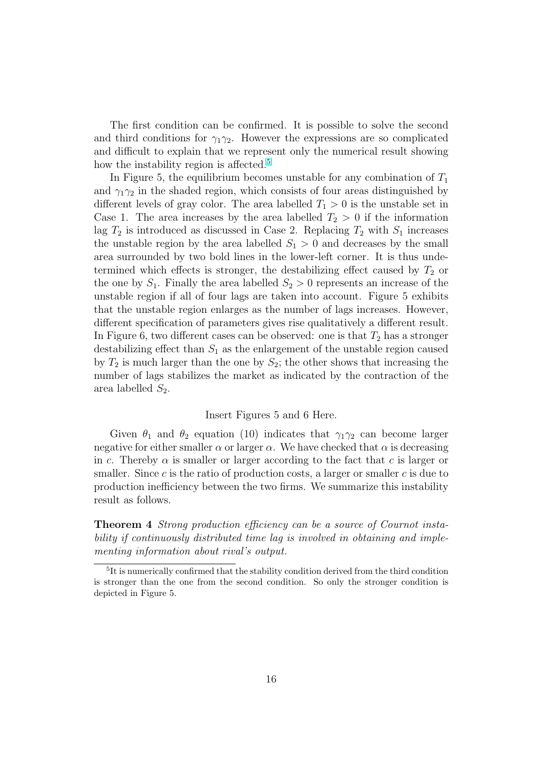The first condition can be confirmed. It is possible to solve the second and third conditions for  $\gamma_1 \gamma_2$ . However the expressions are so complicated and difficult to explain that we represent only the numerical result showing how the instability region is affected.<sup>5</sup>

In Figure 5, the equilibrium becomes unstable for any combination of  $T_1$ and  $\gamma_1\gamma_2$  in the shaded region, which consists of four areas distinguished by different levels of gray color. The area labelled  $T_1 > 0$  is the unstable set in Case 1. The area increases by the area labelled  $T_2 > 0$  if the information lag  $T_2$  is introduced as discussed in Case 2. Replacing  $T_2$  with  $S_1$  increases the unstable region by the area labelled  $S_1 > 0$  and decreases by the small area surrounded by two bold lines in the lower-left corner. It is thus undetermined which effects is stronger, the destabilizing effect caused by  $T_2$  or the one by  $S_1$ . Finally the area labelled  $S_2 > 0$  represents an increase of the unstable region if all of four lags are taken into account. Figure 5 exhibits that the unstable region enlarges as the number of lags increases. However, different specification of parameters gives rise qualitatively a different result. In Figure 6, two different cases can be observed: one is that  $T_2$  has a stronger destabilizing effect than  $S_1$  as the enlargement of the unstable region caused by  $T_2$  is much larger than the one by  $S_2$ ; the other shows that increasing the number of lags stabilizes the market as indicated by the contraction of the area labelled  $S_2$ .

#### Insert Figures 5 and 6 Here.

Given  $\theta_1$  and  $\theta_2$  equation (10) indicates that  $\gamma_1 \gamma_2$  can become larger negative for either smaller  $\alpha$  or larger  $\alpha$ . We have checked that  $\alpha$  is decreasing in c. Thereby  $\alpha$  is smaller or larger according to the fact that c is larger or smaller. Since  $c$  is the ratio of production costs, a larger or smaller  $c$  is due to production inefficiency between the two firms. We summarize this instability result as follows.

Theorem 4 Strong production efficiency can be a source of Cournot instability if continuously distributed time lag is involved in obtaining and implementing information about rival's output.

<sup>&</sup>lt;sup>5</sup>It is numerically confirmed that the stability condition derived from the third condition is stronger than the one from the second condition. So only the stronger condition is depicted in Figure 5.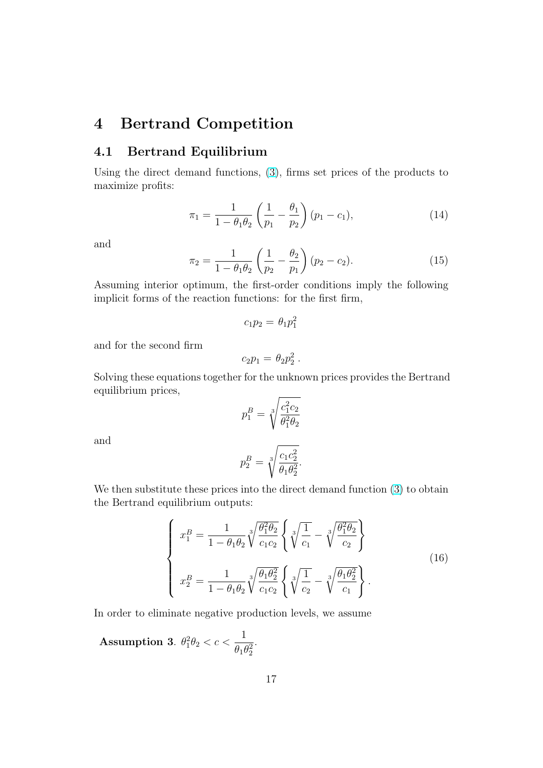# 4 Bertrand Competition

#### 4.1 Bertrand Equilibrium

Using the direct demand functions, [\(3\)](#page-2-0), firms set prices of the products to maximize profits:

$$
\pi_1 = \frac{1}{1 - \theta_1 \theta_2} \left( \frac{1}{p_1} - \frac{\theta_1}{p_2} \right) (p_1 - c_1), \tag{14}
$$

and

$$
\pi_2 = \frac{1}{1 - \theta_1 \theta_2} \left( \frac{1}{p_2} - \frac{\theta_2}{p_1} \right) (p_2 - c_2).
$$
 (15)

Assuming interior optimum, the first-order conditions imply the following implicit forms of the reaction functions: for the first firm,

$$
c_1 p_2 = \theta_1 p_1^2
$$

and for the second firm

$$
c_2p_1=\theta_2p_2^2.
$$

Solving these equations together for the unknown prices provides the Bertrand equilibrium prices, s

$$
p_1^B=\sqrt[3]{\frac{c_1^2c_2}{\theta_1^2\theta_2}}
$$

and

$$
p_2^B = \sqrt[3]{\frac{c_1 c_2^2}{\theta_1 \theta_2^2}}.
$$

We then substitute these prices into the direct demand function  $(3)$  to obtain the Bertrand equilibrium outputs:

$$
\begin{cases}\nx_1^B = \frac{1}{1 - \theta_1 \theta_2} \sqrt[3]{\frac{\theta_1^2 \theta_2}{c_1 c_2}} \left\{ \sqrt[3]{\frac{1}{c_1}} - \sqrt[3]{\frac{\theta_1^2 \theta_2}{c_2}} \right\} \\
x_2^B = \frac{1}{1 - \theta_1 \theta_2} \sqrt[3]{\frac{\theta_1 \theta_2^2}{c_1 c_2}} \left\{ \sqrt[3]{\frac{1}{c_2}} - \sqrt[3]{\frac{\theta_1 \theta_2^2}{c_1}} \right\}.\n\end{cases} (16)
$$

In order to eliminate negative production levels, we assume

Assumption 3.  $\theta_1^2\theta_2 < c <$ 1  $\theta_1 \theta_2^2$ .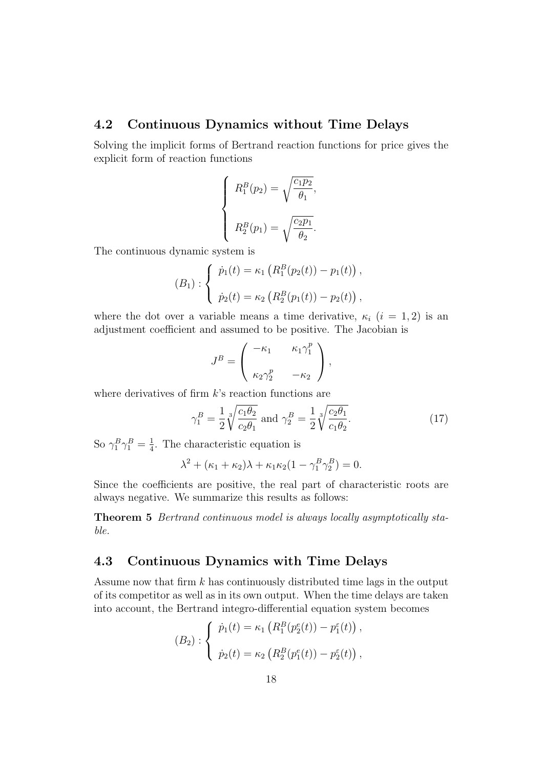### 4.2 Continuous Dynamics without Time Delays

Solving the implicit forms of Bertrand reaction functions for price gives the explicit form of reaction functions

$$
\begin{cases}\nR_1^B(p_2) = \sqrt{\frac{c_1 p_2}{\theta_1}},\\ \nR_2^B(p_1) = \sqrt{\frac{c_2 p_1}{\theta_2}}.\n\end{cases}
$$

The continuous dynamic system is

$$
(B_1): \begin{cases} \dot{p}_1(t) = \kappa_1 \left( R_1^B(p_2(t)) - p_1(t) \right), \\ \dot{p}_2(t) = \kappa_2 \left( R_2^B(p_1(t)) - p_2(t) \right), \end{cases}
$$

where the dot over a variable means a time derivative,  $\kappa_i$   $(i = 1, 2)$  is an adjustment coefficient and assumed to be positive. The Jacobian is

$$
J^B = \begin{pmatrix} -\kappa_1 & \kappa_1 \gamma_1^p \\ \kappa_2 \gamma_2^p & -\kappa_2 \end{pmatrix},
$$

where derivatives of firm  $k$ 's reaction functions are

$$
\gamma_1^B = \frac{1}{2} \sqrt[3]{\frac{c_1 \theta_2}{c_2 \theta_1}} \text{ and } \gamma_2^B = \frac{1}{2} \sqrt[3]{\frac{c_2 \theta_1}{c_1 \theta_2}}.
$$
 (17)

So  $\gamma_1^B \gamma_1^B = \frac{1}{4}$  $\frac{1}{4}$ . The characteristic equation is

$$
\lambda^2 + (\kappa_1 + \kappa_2)\lambda + \kappa_1 \kappa_2 (1 - \gamma_1^B \gamma_2^B) = 0.
$$

Since the coefficients are positive, the real part of characteristic roots are always negative. We summarize this results as follows:

Theorem 5 Bertrand continuous model is always locally asymptotically stable.

### 4.3 Continuous Dynamics with Time Delays

Assume now that firm  $k$  has continuously distributed time lags in the output of its competitor as well as in its own output. When the time delays are taken into account, the Bertrand integro-differential equation system becomes

$$
(B_2): \begin{cases} \dot{p}_1(t) = \kappa_1 \left( R_1^B(p_2^e(t)) - p_1^{\varepsilon}(t) \right), \\ \dot{p}_2(t) = \kappa_2 \left( R_2^B(p_1^e(t)) - p_2^{\varepsilon}(t) \right), \end{cases}
$$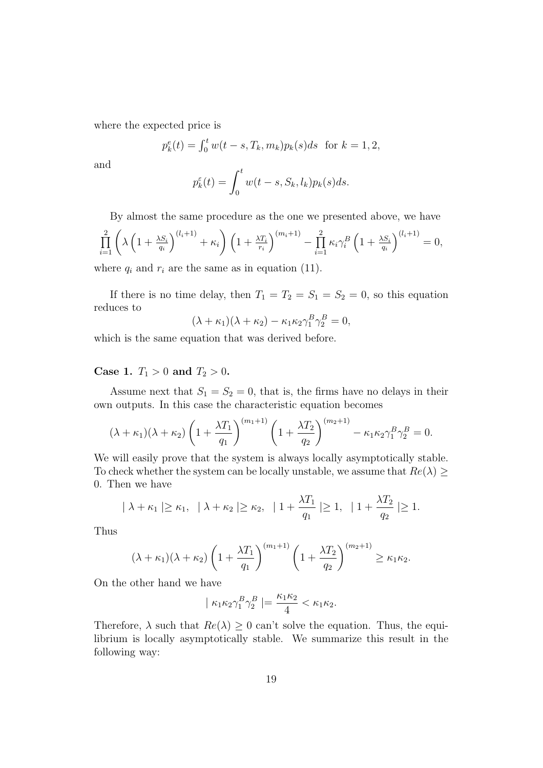where the expected price is

$$
p_k^e(t) = \int_0^t w(t-s, T_k, m_k)p_k(s)ds
$$
 for  $k = 1, 2$ ,

and

$$
p_k^{\varepsilon}(t) = \int_0^t w(t-s, S_k, l_k) p_k(s) ds.
$$

By almost the same procedure as the one we presented above, we have

$$
\prod_{i=1}^{2} \left( \lambda \left( 1 + \frac{\lambda S_i}{q_i} \right)^{(l_i+1)} + \kappa_i \right) \left( 1 + \frac{\lambda T_i}{r_i} \right)^{(m_i+1)} - \prod_{i=1}^{2} \kappa_i \gamma_i^B \left( 1 + \frac{\lambda S_i}{q_i} \right)^{(l_i+1)} = 0,
$$

where  $q_i$  and  $r_i$  are the same as in equation (11).

If there is no time delay, then  $T_1 = T_2 = S_1 = S_2 = 0$ , so this equation reduces to

$$
(\lambda + \kappa_1)(\lambda + \kappa_2) - \kappa_1 \kappa_2 \gamma_1^B \gamma_2^B = 0,
$$

which is the same equation that was derived before.

### Case 1.  $T_1 > 0$  and  $T_2 > 0$ .

Assume next that  $S_1 = S_2 = 0$ , that is, the firms have no delays in their own outputs. In this case the characteristic equation becomes

$$
(\lambda + \kappa_1)(\lambda + \kappa_2)\left(1 + \frac{\lambda T_1}{q_1}\right)^{(m_1 + 1)} \left(1 + \frac{\lambda T_2}{q_2}\right)^{(m_2 + 1)} - \kappa_1 \kappa_2 \gamma_1^B \gamma_2^B = 0.
$$

We will easily prove that the system is always locally asymptotically stable. To check whether the system can be locally unstable, we assume that  $Re(\lambda) \ge$ 0. Then we have

$$
|\lambda + \kappa_1| \ge \kappa_1, \quad |\lambda + \kappa_2| \ge \kappa_2, \quad |1 + \frac{\lambda T_1}{q_1}| \ge 1, \quad |1 + \frac{\lambda T_2}{q_2}| \ge 1.
$$

Thus

$$
(\lambda + \kappa_1)(\lambda + \kappa_2) \left(1 + \frac{\lambda T_1}{q_1}\right)^{(m_1 + 1)} \left(1 + \frac{\lambda T_2}{q_2}\right)^{(m_2 + 1)} \ge \kappa_1 \kappa_2.
$$

On the other hand we have

$$
|\kappa_1 \kappa_2 \gamma_1^B \gamma_2^B| = \frac{\kappa_1 \kappa_2}{4} < \kappa_1 \kappa_2.
$$

Therefore,  $\lambda$  such that  $Re(\lambda) \geq 0$  can't solve the equation. Thus, the equilibrium is locally asymptotically stable. We summarize this result in the following way: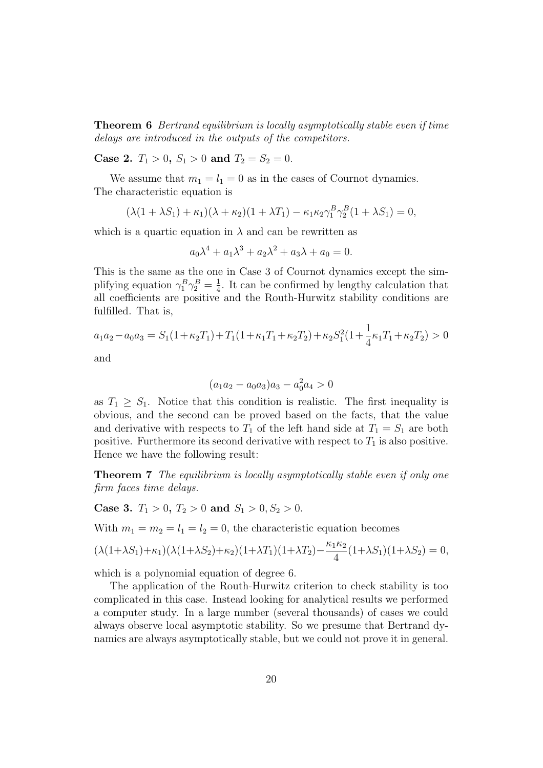Theorem 6 Bertrand equilibrium is locally asymptotically stable even if time delays are introduced in the outputs of the competitors.

Case 2.  $T_1 > 0$ ,  $S_1 > 0$  and  $T_2 = S_2 = 0$ .

We assume that  $m_1 = l_1 = 0$  as in the cases of Cournot dynamics. The characteristic equation is

$$
(\lambda(1+\lambda S_1)+\kappa_1)(\lambda+\kappa_2)(1+\lambda T_1)-\kappa_1\kappa_2\gamma_1^B\gamma_2^B(1+\lambda S_1)=0,
$$

which is a quartic equation in  $\lambda$  and can be rewritten as

$$
a_0\lambda^4 + a_1\lambda^3 + a_2\lambda^2 + a_3\lambda + a_0 = 0.
$$

This is the same as the one in Case 3 of Cournot dynamics except the simplifying equation  $\gamma_1^B \gamma_2^B = \frac{1}{4}$  $\frac{1}{4}$ . It can be confirmed by lengthy calculation that all coefficients are positive and the Routh-Hurwitz stability conditions are fulfilled. That is,

$$
a_1 a_2 - a_0 a_3 = S_1(1 + \kappa_2 T_1) + T_1(1 + \kappa_1 T_1 + \kappa_2 T_2) + \kappa_2 S_1^2(1 + \frac{1}{4} \kappa_1 T_1 + \kappa_2 T_2) > 0
$$

and

$$
(a_1a_2 - a_0a_3)a_3 - a_0^2a_4 > 0
$$

as  $T_1 \geq S_1$ . Notice that this condition is realistic. The first inequality is obvious, and the second can be proved based on the facts, that the value and derivative with respects to  $T_1$  of the left hand side at  $T_1 = S_1$  are both positive. Furthermore its second derivative with respect to  $T_1$  is also positive. Hence we have the following result:

**Theorem 7** The equilibrium is locally asymptotically stable even if only one firm faces time delays.

Case 3.  $T_1 > 0$ ,  $T_2 > 0$  and  $S_1 > 0$ ,  $S_2 > 0$ .

With  $m_1 = m_2 = l_1 = l_2 = 0$ , the characteristic equation becomes

$$
(\lambda(1+\lambda S_1)+\kappa_1)(\lambda(1+\lambda S_2)+\kappa_2)(1+\lambda T_1)(1+\lambda T_2)-\frac{\kappa_1\kappa_2}{4}(1+\lambda S_1)(1+\lambda S_2)=0,
$$

which is a polynomial equation of degree 6.

The application of the Routh-Hurwitz criterion to check stability is too complicated in this case. Instead looking for analytical results we performed a computer study. In a large number (several thousands) of cases we could always observe local asymptotic stability. So we presume that Bertrand dynamics are always asymptotically stable, but we could not prove it in general.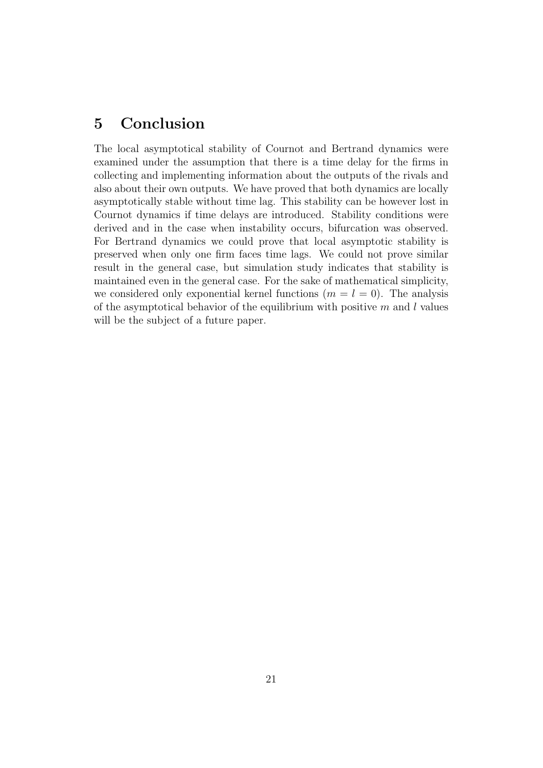# 5 Conclusion

The local asymptotical stability of Cournot and Bertrand dynamics were examined under the assumption that there is a time delay for the firms in collecting and implementing information about the outputs of the rivals and also about their own outputs. We have proved that both dynamics are locally asymptotically stable without time lag. This stability can be however lost in Cournot dynamics if time delays are introduced. Stability conditions were derived and in the case when instability occurs, bifurcation was observed. For Bertrand dynamics we could prove that local asymptotic stability is preserved when only one firm faces time lags. We could not prove similar result in the general case, but simulation study indicates that stability is maintained even in the general case. For the sake of mathematical simplicity, we considered only exponential kernel functions  $(m = l = 0)$ . The analysis of the asymptotical behavior of the equilibrium with positive  $m$  and l values will be the subject of a future paper.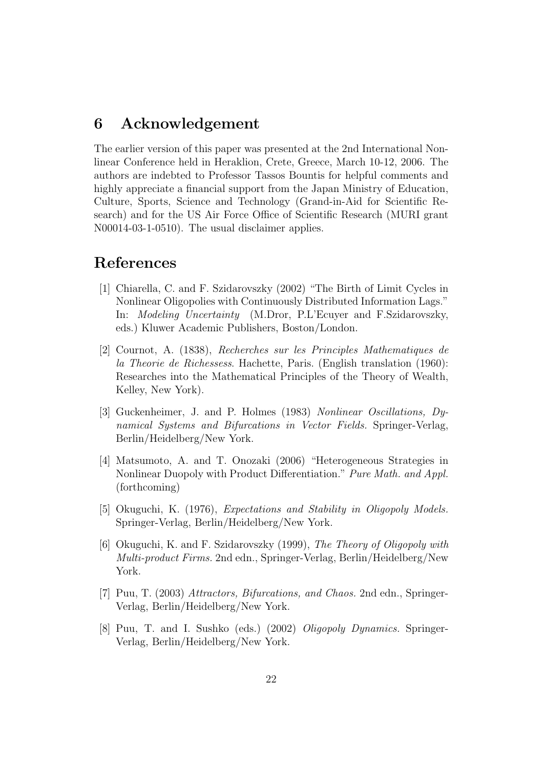### 6 Acknowledgement

The earlier version of this paper was presented at the 2nd International Nonlinear Conference held in Heraklion, Crete, Greece, March 10-12, 2006. The authors are indebted to Professor Tassos Bountis for helpful comments and highly appreciate a financial support from the Japan Ministry of Education, Culture, Sports, Science and Technology (Grand-in-Aid for Scientific Research) and for the US Air Force Office of Scientific Research (MURI grant N00014-03-1-0510). The usual disclaimer applies.

### References

- [1] Chiarella, C. and F. Szidarovszky (2002) "The Birth of Limit Cycles in Nonlinear Oligopolies with Continuously Distributed Information Lags." In: Modeling Uncertainty (M.Dror, P.L'Ecuyer and F.Szidarovszky, eds.) Kluwer Academic Publishers, Boston/London.
- [2] Cournot, A. (1838), Recherches sur les Principles Mathematiques de la Theorie de Richessess. Hachette, Paris. (English translation (1960): Researches into the Mathematical Principles of the Theory of Wealth, Kelley, New York).
- [3] Guckenheimer, J. and P. Holmes (1983) Nonlinear Oscillations, Dynamical Systems and Bifurcations in Vector Fields. Springer-Verlag, Berlin/Heidelberg/New York.
- [4] Matsumoto, A. and T. Onozaki (2006) "Heterogeneous Strategies in Nonlinear Duopoly with Product Differentiation." Pure Math. and Appl. (forthcoming)
- [5] Okuguchi, K. (1976), Expectations and Stability in Oligopoly Models. Springer-Verlag, Berlin/Heidelberg/New York.
- [6] Okuguchi, K. and F. Szidarovszky (1999), The Theory of Oligopoly with Multi-product Firms. 2nd edn., Springer-Verlag, Berlin/Heidelberg/New York.
- [7] Puu, T. (2003) Attractors, Bifurcations, and Chaos. 2nd edn., Springer-Verlag, Berlin/Heidelberg/New York.
- [8] Puu, T. and I. Sushko (eds.) (2002) Oligopoly Dynamics. Springer-Verlag, Berlin/Heidelberg/New York.